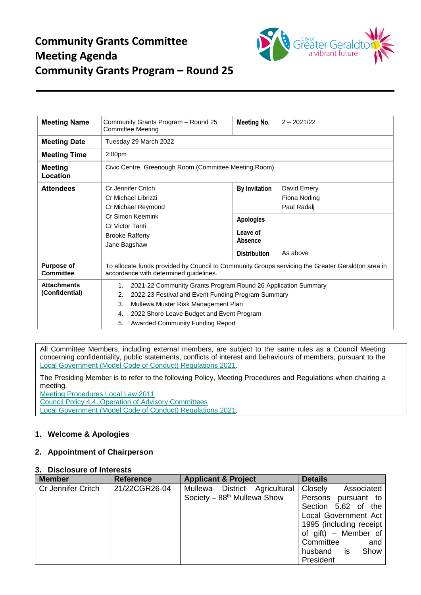

| <b>Meeting Name</b>                   | Community Grants Program - Round 25<br><b>Committee Meeting</b>                                                                                                                                                                                                                  | Meeting No.                                                                                   | $2 - 2021/22$                                           |  |  |
|---------------------------------------|----------------------------------------------------------------------------------------------------------------------------------------------------------------------------------------------------------------------------------------------------------------------------------|-----------------------------------------------------------------------------------------------|---------------------------------------------------------|--|--|
| <b>Meeting Date</b>                   | Tuesday 29 March 2022                                                                                                                                                                                                                                                            |                                                                                               |                                                         |  |  |
| <b>Meeting Time</b>                   | 2:00 <sub>pm</sub>                                                                                                                                                                                                                                                               |                                                                                               |                                                         |  |  |
| <b>Meeting</b><br>Location            | Civic Centre, Greenough Room (Committee Meeting Room)                                                                                                                                                                                                                            |                                                                                               |                                                         |  |  |
| <b>Attendees</b>                      | Cr Jennifer Critch<br>Cr Michael Librizzi<br>Cr Michael Reymond<br>Cr Simon Keemink<br>Cr Victor Tanti<br><b>Brooke Rafferty</b><br>Jane Bagshaw                                                                                                                                 | <b>By Invitation</b><br><b>Apologies</b><br>Leave of<br><b>Absence</b><br><b>Distribution</b> | David Emery<br>Fiona Norling<br>Paul Radalj<br>As above |  |  |
| <b>Purpose of</b><br><b>Committee</b> | To allocate funds provided by Council to Community Groups servicing the Greater Geraldton area in<br>accordance with determined guidelines.                                                                                                                                      |                                                                                               |                                                         |  |  |
| <b>Attachments</b><br>(Confidential)  | 2021-22 Community Grants Program Round 26 Application Summary<br>1.<br>2022-23 Festival and Event Funding Program Summary<br>2.<br>3.<br>Mullewa Muster Risk Management Plan<br>2022 Shore Leave Budget and Event Program<br>4.<br><b>Awarded Community Funding Report</b><br>5. |                                                                                               |                                                         |  |  |

All Committee Members, including external members, are subject to the same rules as a Council Meeting concerning confidentiality, public statements, conflicts of interest and behaviours of members, pursuant to the [Local Government \(Model Code of Conduct\) Regulations 2021.](https://www.legislation.wa.gov.au/legislation/statutes.nsf/law_s52479.html)

The Presiding Member is to refer to the following Policy, Meeting Procedures and Regulations when chairing a meeting.

[Meeting Procedures Local Law 2011](https://www.cgg.wa.gov.au/Profiles/cgg/Assets/ClientData/Local_Laws/Meeting_Procedures_Local_Law_2011_-_Consolidated_-_Website.pdf)

[Council Policy 4.4. Operation of Advisory Committees](https://www.cgg.wa.gov.au/Profiles/cgg/Assets/ClientData/Council_Policy/4_4_Operation_of_Advisory_Committees_-_Version_3_-_2021.pdf) [Local Government \(Model Code](https://www.legislation.wa.gov.au/legislation/statutes.nsf/law_s52479.html) of Conduct) Regulations 2021.

# **1. Welcome & Apologies**

# **2. Appointment of Chairperson**

## **3. Disclosure of Interests**

| <b>Member</b>             | <b>Reference</b> | <b>Applicant &amp; Project</b> | <b>Details</b>          |
|---------------------------|------------------|--------------------------------|-------------------------|
| <b>Cr Jennifer Critch</b> | 21/22CGR26-04    | Mullewa District Agricultural  | Closely<br>Associated   |
|                           |                  | Society $-88th$ Mullewa Show   | Persons pursuant to     |
|                           |                  |                                | Section 5.62 of the     |
|                           |                  |                                | Local Government Act    |
|                           |                  |                                | 1995 (including receipt |
|                           |                  |                                | of gift) – Member of    |
|                           |                  |                                | Committee<br>and        |
|                           |                  |                                | husband is<br>Show      |
|                           |                  |                                | President               |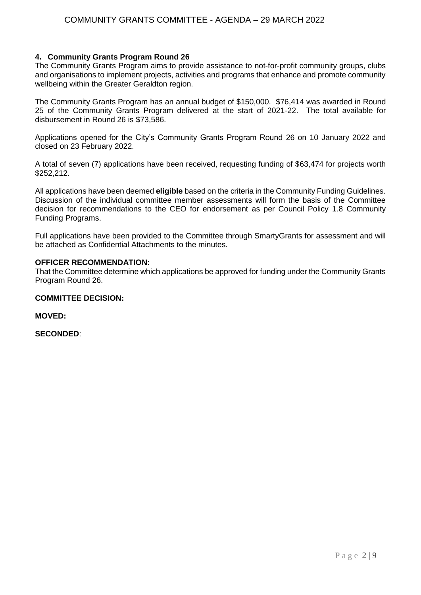## **4. Community Grants Program Round 26**

The Community Grants Program aims to provide assistance to not-for-profit community groups, clubs and organisations to implement projects, activities and programs that enhance and promote community wellbeing within the Greater Geraldton region.

The Community Grants Program has an annual budget of \$150,000. \$76,414 was awarded in Round 25 of the Community Grants Program delivered at the start of 2021-22. The total available for disbursement in Round 26 is \$73,586.

Applications opened for the City's Community Grants Program Round 26 on 10 January 2022 and closed on 23 February 2022.

A total of seven (7) applications have been received, requesting funding of \$63,474 for projects worth \$252,212.

All applications have been deemed **eligible** based on the criteria in the Community Funding Guidelines. Discussion of the individual committee member assessments will form the basis of the Committee decision for recommendations to the CEO for endorsement as per Council Policy 1.8 Community Funding Programs.

Full applications have been provided to the Committee through SmartyGrants for assessment and will be attached as Confidential Attachments to the minutes.

## **OFFICER RECOMMENDATION:**

That the Committee determine which applications be approved for funding under the Community Grants Program Round 26.

### **COMMITTEE DECISION:**

**MOVED:**

**SECONDED**: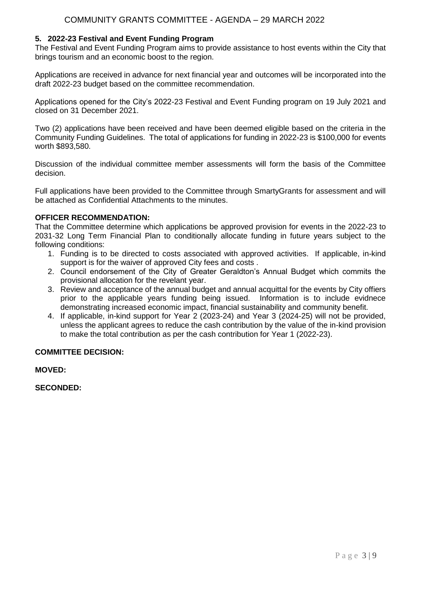## **5. 2022-23 Festival and Event Funding Program**

The Festival and Event Funding Program aims to provide assistance to host events within the City that brings tourism and an economic boost to the region.

Applications are received in advance for next financial year and outcomes will be incorporated into the draft 2022-23 budget based on the committee recommendation.

Applications opened for the City's 2022-23 Festival and Event Funding program on 19 July 2021 and closed on 31 December 2021.

Two (2) applications have been received and have been deemed eligible based on the criteria in the Community Funding Guidelines. The total of applications for funding in 2022-23 is \$100,000 for events worth \$893,580.

Discussion of the individual committee member assessments will form the basis of the Committee decision.

Full applications have been provided to the Committee through SmartyGrants for assessment and will be attached as Confidential Attachments to the minutes.

## **OFFICER RECOMMENDATION:**

That the Committee determine which applications be approved provision for events in the 2022-23 to 2031-32 Long Term Financial Plan to conditionally allocate funding in future years subject to the following conditions:

- 1. Funding is to be directed to costs associated with approved activities. If applicable, in-kind support is for the waiver of approved City fees and costs .
- 2. Council endorsement of the City of Greater Geraldton's Annual Budget which commits the provisional allocation for the revelant year.
- 3. Review and acceptance of the annual budget and annual acquittal for the events by City offiers prior to the applicable years funding being issued. Information is to include evidnece demonstrating increased economic impact, financial sustainability and community benefit.
- 4. If applicable, in-kind support for Year 2 (2023-24) and Year 3 (2024-25) will not be provided, unless the applicant agrees to reduce the cash contribution by the value of the in-kind provision to make the total contribution as per the cash contribution for Year 1 (2022-23).

# **COMMITTEE DECISION:**

**MOVED:**

**SECONDED:**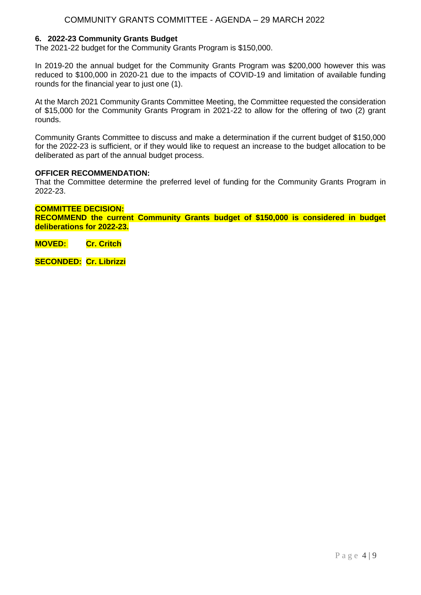# COMMUNITY GRANTS COMMITTEE - AGENDA – 29 MARCH 2022

### **6. 2022-23 Community Grants Budget**

The 2021-22 budget for the Community Grants Program is \$150,000.

In 2019-20 the annual budget for the Community Grants Program was \$200,000 however this was reduced to \$100,000 in 2020-21 due to the impacts of COVID-19 and limitation of available funding rounds for the financial year to just one (1).

At the March 2021 Community Grants Committee Meeting, the Committee requested the consideration of \$15,000 for the Community Grants Program in 2021-22 to allow for the offering of two (2) grant rounds.

Community Grants Committee to discuss and make a determination if the current budget of \$150,000 for the 2022-23 is sufficient, or if they would like to request an increase to the budget allocation to be deliberated as part of the annual budget process.

#### **OFFICER RECOMMENDATION:**

That the Committee determine the preferred level of funding for the Community Grants Program in 2022-23.

#### **COMMITTEE DECISION:**

**RECOMMEND the current Community Grants budget of \$150,000 is considered in budget deliberations for 2022-23.**

**MOVED: Cr. Critch**

**SECONDED: Cr. Librizzi**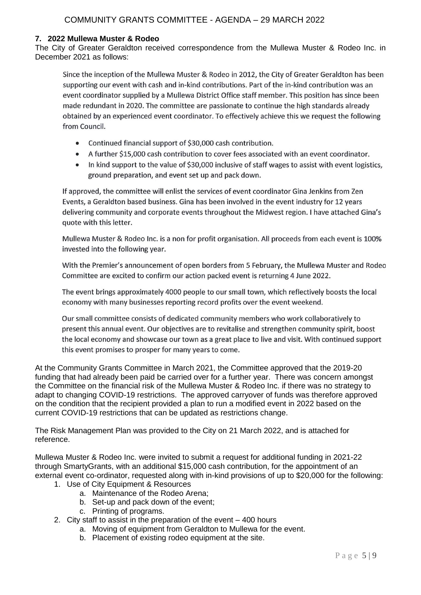## **7. 2022 Mullewa Muster & Rodeo**

The City of Greater Geraldton received correspondence from the Mullewa Muster & Rodeo Inc. in December 2021 as follows:

Since the inception of the Mullewa Muster & Rodeo in 2012, the City of Greater Geraldton has been supporting our event with cash and in-kind contributions. Part of the in-kind contribution was an event coordinator supplied by a Mullewa District Office staff member. This position has since been made redundant in 2020. The committee are passionate to continue the high standards already obtained by an experienced event coordinator. To effectively achieve this we request the following from Council.

- Continued financial support of \$30,000 cash contribution.
- $\bullet$ A further \$15,000 cash contribution to cover fees associated with an event coordinator.
- In kind support to the value of \$30,000 inclusive of staff wages to assist with event logistics.  $\bullet$ ground preparation, and event set up and pack down.

If approved, the committee will enlist the services of event coordinator Gina Jenkins from Zen Events, a Geraldton based business. Gina has been involved in the event industry for 12 years delivering community and corporate events throughout the Midwest region. I have attached Gina's quote with this letter.

Mullewa Muster & Rodeo Inc. is a non for profit organisation. All proceeds from each event is 100% invested into the following year.

With the Premier's announcement of open borders from 5 February, the Mullewa Muster and Rodeo Committee are excited to confirm our action packed event is returning 4 June 2022.

The event brings approximately 4000 people to our small town, which reflectively boosts the local economy with many businesses reporting record profits over the event weekend.

Our small committee consists of dedicated community members who work collaboratively to present this annual event. Our objectives are to revitalise and strengthen community spirit, boost the local economy and showcase our town as a great place to live and visit. With continued support this event promises to prosper for many years to come.

At the Community Grants Committee in March 2021, the Committee approved that the 2019-20 funding that had already been paid be carried over for a further year. There was concern amongst the Committee on the financial risk of the Mullewa Muster & Rodeo Inc. if there was no strategy to adapt to changing COVID-19 restrictions. The approved carryover of funds was therefore approved on the condition that the recipient provided a plan to run a modified event in 2022 based on the current COVID-19 restrictions that can be updated as restrictions change.

The Risk Management Plan was provided to the City on 21 March 2022, and is attached for reference.

Mullewa Muster & Rodeo Inc. were invited to submit a request for additional funding in 2021-22 through SmartyGrants, with an additional \$15,000 cash contribution, for the appointment of an external event co-ordinator, requested along with in-kind provisions of up to \$20,000 for the following:

- 1. Use of City Equipment & Resources
	- a. Maintenance of the Rodeo Arena;
	- b. Set-up and pack down of the event;
	- c. Printing of programs.
- 2. City staff to assist in the preparation of the event 400 hours
	- a. Moving of equipment from Geraldton to Mullewa for the event.
		- b. Placement of existing rodeo equipment at the site.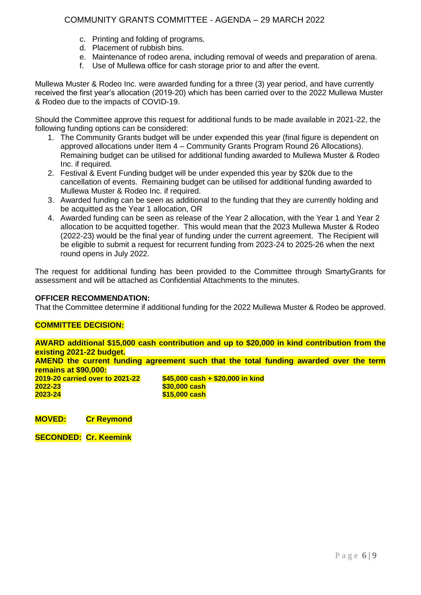# COMMUNITY GRANTS COMMITTEE - AGENDA – 29 MARCH 2022

- c. Printing and folding of programs.
- d. Placement of rubbish bins.
- e. Maintenance of rodeo arena, including removal of weeds and preparation of arena.
- f. Use of Mullewa office for cash storage prior to and after the event.

Mullewa Muster & Rodeo Inc. were awarded funding for a three (3) year period, and have currently received the first year's allocation (2019-20) which has been carried over to the 2022 Mullewa Muster & Rodeo due to the impacts of COVID-19.

Should the Committee approve this request for additional funds to be made available in 2021-22, the following funding options can be considered:

- 1. The Community Grants budget will be under expended this year (final figure is dependent on approved allocations under Item 4 – Community Grants Program Round 26 Allocations). Remaining budget can be utilised for additional funding awarded to Mullewa Muster & Rodeo Inc. if required.
- 2. Festival & Event Funding budget will be under expended this year by \$20k due to the cancellation of events. Remaining budget can be utilised for additional funding awarded to Mullewa Muster & Rodeo Inc. if required.
- 3. Awarded funding can be seen as additional to the funding that they are currently holding and be acquitted as the Year 1 allocation, OR
- 4. Awarded funding can be seen as release of the Year 2 allocation, with the Year 1 and Year 2 allocation to be acquitted together. This would mean that the 2023 Mullewa Muster & Rodeo (2022-23) would be the final year of funding under the current agreement. The Recipient will be eligible to submit a request for recurrent funding from 2023-24 to 2025-26 when the next round opens in July 2022.

The request for additional funding has been provided to the Committee through SmartyGrants for assessment and will be attached as Confidential Attachments to the minutes.

### **OFFICER RECOMMENDATION:**

That the Committee determine if additional funding for the 2022 Mullewa Muster & Rodeo be approved.

### **COMMITTEE DECISION:**

**AWARD additional \$15,000 cash contribution and up to \$20,000 in kind contribution from the existing 2021-22 budget. AMEND the current funding agreement such that the total funding awarded over the term remains at \$90,000: 2019-20 carried over to 2021-22 \$45,000 cash + \$20,000 in kind 2022-23 \$30,000 cash 2023-24 \$15,000 cash**

**MOVED: Cr Reymond**

**SECONDED: Cr. Keemink**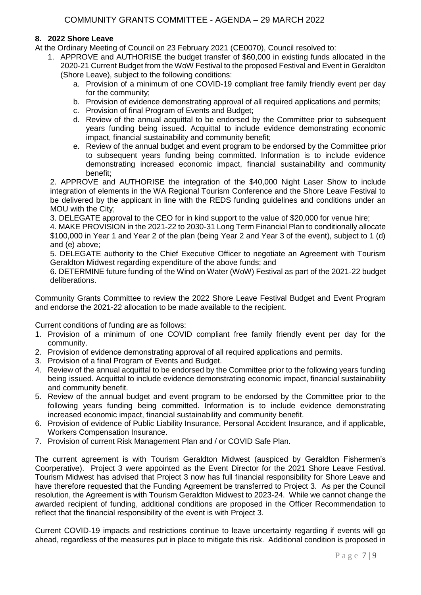## **8. 2022 Shore Leave**

At the Ordinary Meeting of Council on 23 February 2021 (CE0070), Council resolved to:

- 1. APPROVE and AUTHORISE the budget transfer of \$60,000 in existing funds allocated in the 2020-21 Current Budget from the WoW Festival to the proposed Festival and Event in Geraldton (Shore Leave), subject to the following conditions:
	- a. Provision of a minimum of one COVID-19 compliant free family friendly event per day for the community;
	- b. Provision of evidence demonstrating approval of all required applications and permits;
	- c. Provision of final Program of Events and Budget;
	- d. Review of the annual acquittal to be endorsed by the Committee prior to subsequent years funding being issued. Acquittal to include evidence demonstrating economic impact, financial sustainability and community benefit;
	- e. Review of the annual budget and event program to be endorsed by the Committee prior to subsequent years funding being committed. Information is to include evidence demonstrating increased economic impact, financial sustainability and community benefit;

2. APPROVE and AUTHORISE the integration of the \$40,000 Night Laser Show to include integration of elements in the WA Regional Tourism Conference and the Shore Leave Festival to be delivered by the applicant in line with the REDS funding guidelines and conditions under an MOU with the City;

3. DELEGATE approval to the CEO for in kind support to the value of \$20,000 for venue hire;

4. MAKE PROVISION in the 2021-22 to 2030-31 Long Term Financial Plan to conditionally allocate \$100,000 in Year 1 and Year 2 of the plan (being Year 2 and Year 3 of the event), subject to 1 (d) and (e) above;

5. DELEGATE authority to the Chief Executive Officer to negotiate an Agreement with Tourism Geraldton Midwest regarding expenditure of the above funds; and

6. DETERMINE future funding of the Wind on Water (WoW) Festival as part of the 2021-22 budget deliberations.

Community Grants Committee to review the 2022 Shore Leave Festival Budget and Event Program and endorse the 2021-22 allocation to be made available to the recipient.

Current conditions of funding are as follows:

- 1. Provision of a minimum of one COVID compliant free family friendly event per day for the community.
- 2. Provision of evidence demonstrating approval of all required applications and permits.
- 3. Provision of a final Program of Events and Budget.
- 4. Review of the annual acquittal to be endorsed by the Committee prior to the following years funding being issued. Acquittal to include evidence demonstrating economic impact, financial sustainability and community benefit.
- 5. Review of the annual budget and event program to be endorsed by the Committee prior to the following years funding being committed. Information is to include evidence demonstrating increased economic impact, financial sustainability and community benefit.
- 6. Provision of evidence of Public Liability Insurance, Personal Accident Insurance, and if applicable, Workers Compensation Insurance.
- 7. Provision of current Risk Management Plan and / or COVID Safe Plan.

The current agreement is with Tourism Geraldton Midwest (auspiced by Geraldton Fishermen's Coorperative). Project 3 were appointed as the Event Director for the 2021 Shore Leave Festival. Tourism Midwest has advised that Project 3 now has full financial responsibility for Shore Leave and have therefore requested that the Funding Agreement be transferred to Project 3. As per the Council resolution, the Agreement is with Tourism Geraldton Midwest to 2023-24. While we cannot change the awarded recipient of funding, additional conditions are proposed in the Officer Recommendation to reflect that the financial responsibility of the event is with Project 3.

Current COVID-19 impacts and restrictions continue to leave uncertainty regarding if events will go ahead, regardless of the measures put in place to mitigate this risk. Additional condition is proposed in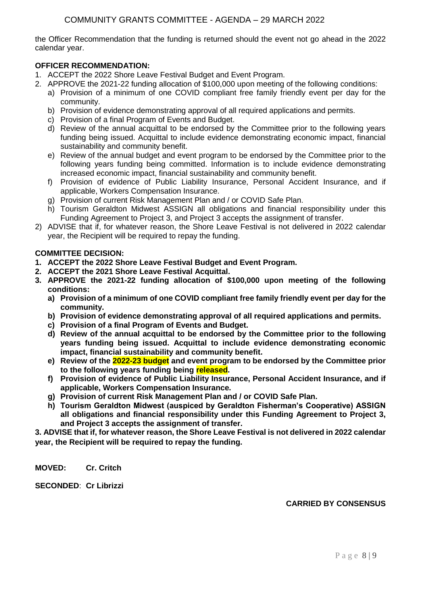the Officer Recommendation that the funding is returned should the event not go ahead in the 2022 calendar year.

# **OFFICER RECOMMENDATION:**

- 1. ACCEPT the 2022 Shore Leave Festival Budget and Event Program.
- 2. APPROVE the 2021-22 funding allocation of \$100,000 upon meeting of the following conditions:
	- a) Provision of a minimum of one COVID compliant free family friendly event per day for the community.
	- b) Provision of evidence demonstrating approval of all required applications and permits.
	- c) Provision of a final Program of Events and Budget.
	- d) Review of the annual acquittal to be endorsed by the Committee prior to the following years funding being issued. Acquittal to include evidence demonstrating economic impact, financial sustainability and community benefit.
	- e) Review of the annual budget and event program to be endorsed by the Committee prior to the following years funding being committed. Information is to include evidence demonstrating increased economic impact, financial sustainability and community benefit.
	- f) Provision of evidence of Public Liability Insurance, Personal Accident Insurance, and if applicable, Workers Compensation Insurance.
	- g) Provision of current Risk Management Plan and / or COVID Safe Plan.
	- h) Tourism Geraldton Midwest ASSIGN all obligations and financial responsibility under this Funding Agreement to Project 3, and Project 3 accepts the assignment of transfer.
- 2) ADVISE that if, for whatever reason, the Shore Leave Festival is not delivered in 2022 calendar year, the Recipient will be required to repay the funding.

## **COMMITTEE DECISION:**

- **1. ACCEPT the 2022 Shore Leave Festival Budget and Event Program.**
- **2. ACCEPT the 2021 Shore Leave Festival Acquittal.**
- **3. APPROVE the 2021-22 funding allocation of \$100,000 upon meeting of the following conditions:**
	- **a) Provision of a minimum of one COVID compliant free family friendly event per day for the community.**
	- **b) Provision of evidence demonstrating approval of all required applications and permits.**
	- **c) Provision of a final Program of Events and Budget.**
	- **d) Review of the annual acquittal to be endorsed by the Committee prior to the following years funding being issued. Acquittal to include evidence demonstrating economic impact, financial sustainability and community benefit.**
	- **e) Review of the 2022-23 budget and event program to be endorsed by the Committee prior to the following years funding being released.**
	- **f) Provision of evidence of Public Liability Insurance, Personal Accident Insurance, and if applicable, Workers Compensation Insurance.**
	- **g) Provision of current Risk Management Plan and / or COVID Safe Plan.**
	- **h) Tourism Geraldton Midwest (auspiced by Geraldton Fisherman's Cooperative) ASSIGN all obligations and financial responsibility under this Funding Agreement to Project 3, and Project 3 accepts the assignment of transfer.**

**3. ADVISE that if, for whatever reason, the Shore Leave Festival is not delivered in 2022 calendar year, the Recipient will be required to repay the funding.**

**MOVED: Cr. Critch**

**SECONDED**: **Cr Librizzi**

# **CARRIED BY CONSENSUS**